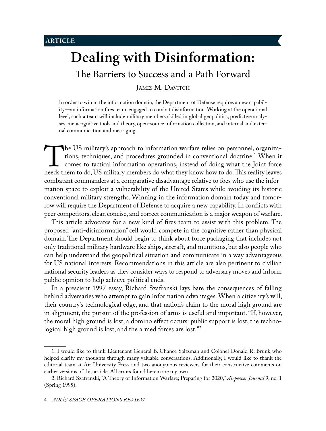# **Dealing with Disinformation:**

The Barriers to Success and a Path Forward

<span id="page-0-0"></span>JAMES M. DAVITCH

In order to win in the information domain, the Department of Defense requires a new capability—an information fires team, engaged to combat disinformation. Working at the operational level, such a team will include military members skilled in global geopolitics, predictive analyses, metacognitive tools and theory, open-source information collection, and internal and external communication and messaging.

The US military's approach to information warfare relies on personnel, organizations, techniques, and procedures grounded in conventional doctrine.<sup>1</sup> When it comes to tactical information operations, instead of doing what tions, techniques, and procedures grounded in conventional doctrine.<sup>1</sup> When it comes to tactical information operations, instead of doing what the Joint force combatant commanders at a comparative disadvantage relative to foes who use the information space to exploit a vulnerability of the United States while avoiding its historic conventional military strengths. Winning in the information domain today and tomorrow will require the Department of Defense to acquire a new capability. In conflicts with peer competitors, clear, concise, and correct communication is a major weapon of warfare.

This article advocates for a new kind of fires team to assist with this problem. The proposed "anti-disinformation" cell would compete in the cognitive rather than physical domain. The Department should begin to think about force packaging that includes not only traditional military hardware like ships, aircraft, and munitions, but also people who can help understand the geopolitical situation and communicate in a way advantageous for US national interests. Recommendations in this article are also pertinent to civilian national security leaders as they consider ways to respond to adversary moves and inform public opinion to help achieve political ends.

In a prescient 1997 essay, Richard Szafranski lays bare the consequences of falling behind adversaries who attempt to gain information advantages. When a citizenry's will, their country's technological edge, and that nation's claim to the moral high ground are in alignment, the pursuit of the profession of arms is useful and important. "If, however, the moral high ground is lost, a domino effect occurs: public support is lost, the technological high ground is lost, and the armed forces are lost."<sup>2</sup>

<sup>1.</sup> I would like to thank Lieutenant General B. Chance Saltzman and Colonel Donald R. Brunk who helped clarify my thoughts through many valuable conversations. Additionally, I would like to thank the editorial team at Air University Press and two anonymous reviewers for their constructive comments on earlier versions of this article. All errors found herein are my own.

<sup>2.</sup> Richard Szafranski, "A Theory of Information Warfare; Preparing for 2020," *Airpower Journal* 9, no. 1 (Spring 1995).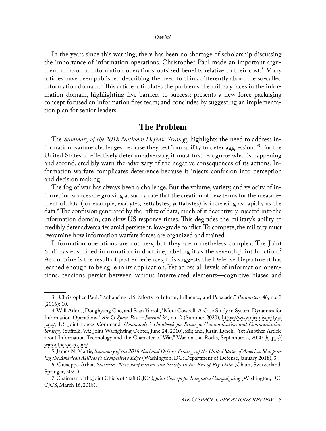In the years since this warning, there has been no shortage of scholarship discussing the importance of information operations. Christopher Paul made an important argument in favor of information operations' outsized benefits relative to their cost.<sup>3</sup> Many articles have been published describing the need to think differently about the so-called information domain.<sup>4</sup> This article articulates the problems the military faces in the information domain, highlighting five barriers to success; presents a new force packaging concept focused an information fires team; and concludes by suggesting an implementation plan for senior leaders.

## **The Problem**

The *Summary of the 2018 National Defense Strategy* highlights the need to address information warfare challenges because they test "our ability to deter aggression."5 For the United States to effectively deter an adversary, it must first recognize what is happening and second, credibly warn the adversary of the negative consequences of its actions. Information warfare complicates deterrence because it injects confusion into perception and decision making.

The fog of war has always been a challenge. But the volume, variety, and velocity of information sources are growing at such a rate that the creation of new terms for the measurement of data (for example, exabytes, zettabytes, yottabytes) is increasing as rapidly as the data.6 The confusion generated by the influx of data, much of it deceptively injected into the information domain, can slow US response times. This degrades the military's ability to credibly deter adversaries amid persistent, low-grade conflict. To compete, the military must reexamine how information warfare forces are organized and trained.

Information operations are not new, but they are nonetheless complex. The Joint Staff has enshrined information in doctrine, labeling it as the seventh Joint function.<sup>7</sup> As doctrine is the result of past experiences, this suggests the Defense Department has learned enough to be agile in its application. Yet across all levels of information operations, tensions persist between various interrelated elements—cognitive biases and

<sup>3.</sup> Christopher Paul, "Enhancing US Efforts to Inform, Influence, and Persuade," *Parameters* 46, no. 3 (2016): 10.

<sup>4.</sup> Will Atkins, Donghyung Cho, and Sean Yarroll, "More Cowbell: A Case Study in System Dynamics for Information Operations," *Air & Space Power Journal* 34, no. 2 (Summer 2020), [https://www.airuniversity.af](https://www.airuniversity.af.edu/Portals/10/ASPJ/journals/Volume-34_Issue-2/F-Atkins_et_al.pdf) [.edu/](https://www.airuniversity.af.edu/Portals/10/ASPJ/journals/Volume-34_Issue-2/F-Atkins_et_al.pdf); US Joint Forces Command, *Commander's Handbook for Strategic Communication and Communication Strategy* (Suffolk, VA: Joint Warfighting Center, June 24, 2010), xiii; and, Justin Lynch, "Yet Another Article about Information Technology and the Character of War," War on the Rocks, September 2, 2020. [https://](https://warontherocks.com/2020/09/yet-another-article-about-information-technology-and-the-character-of-war/) [warontherocks.com/.](https://warontherocks.com/2020/09/yet-another-article-about-information-technology-and-the-character-of-war/)

<sup>5.</sup> James N. Mattis, *Summary of the 2018 National Defense Strategy of the United States of America: Sharpening the American Military's Competitive Edge* (Washington, DC: Department of Defense, January 2018), 3.

<sup>6.</sup> Giuseppe Arbia, *Statistics, New Empiricism and Society in the Era of Big Data* (Cham, Switzerland: Springer, 2021).

<sup>7.</sup> Chairman of the Joint Chiefs of Staff (CJCS), *Joint Concept for Integrated Campaigning* (Washington, DC: CJCS, March 16, 2018).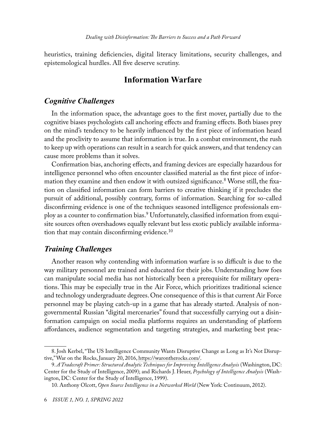heuristics, training deficiencies, digital literacy limitations, security challenges, and epistemological hurdles. All five deserve scrutiny.

# **Information Warfare**

## *Cognitive Challenges*

In the information space, the advantage goes to the first mover, partially due to the cognitive biases psychologists call anchoring effects and framing effects. Both biases prey on the mind's tendency to be heavily influenced by the first piece of information heard and the proclivity to assume that information is true. In a combat environment, the rush to keep up with operations can result in a search for quick answers, and that tendency can cause more problems than it solves.

Confirmation bias, anchoring effects, and framing devices are especially hazardous for intelligence personnel who often encounter classified material as the first piece of information they examine and then endow it with outsized significance.8 Worse still, the fixation on classified information can form barriers to creative thinking if it precludes the pursuit of additional, possibly contrary, forms of information. Searching for so-called disconfirming evidence is one of the techniques seasoned intelligence professionals employ as a counter to confirmation bias.9 Unfortunately, classified information from exquisite sources often overshadows equally relevant but less exotic publicly available information that may contain disconfirming evidence.<sup>10</sup>

## *Training Challenges*

Another reason why contending with information warfare is so difficult is due to the way military personnel are trained and educated for their jobs. Understanding how foes can manipulate social media has not historically been a prerequisite for military operations. This may be especially true in the Air Force, which prioritizes traditional science and technology undergraduate degrees. One consequence of this is that current Air Force personnel may be playing catch-up in a game that has already started. Analysis of nongovernmental Russian "digital mercenaries" found that successfully carrying out a disinformation campaign on social media platforms requires an understanding of platform affordances, audience segmentation and targeting strategies, and marketing best prac-

<sup>8.</sup> Josh Kerbel, "The US Intelligence Community Wants Disruptive Change as Long as It's Not Disruptive," War on the Rocks, January 20, 2016, [https://warontherocks.com/](https://warontherocks.com/2016/01/the-u-s-intelligence-community-wants-disruptive-change-as-long-as-its-not-disruptive/).

<sup>9.</sup> *A Tradecraft Primer: Structured Analytic Techniques for Improving Intelligence Analysis* (Washington, DC: Center for the Study of Intelligence, 2009); and Richards J. Heuer, *Psychology of Intelligence Analysis* (Washington, DC: Center for the Study of Intelligence, 1999).

<sup>10.</sup> Anthony Olcott, *Open Source Intelligence in a Networked World* (New York: Continuum, 2012).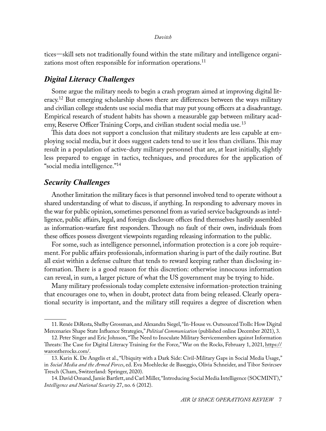tices—skill sets not traditionally found within the state military and intelligence organizations most often responsible for information operations.<sup>11</sup>

## *Digital Literacy Challenges*

Some argue the military needs to begin a crash program aimed at improving digital literacy.<sup>12</sup> But emerging scholarship shows there are differences between the ways military and civilian college students use social media that may put young officers at a disadvantage. Empirical research of student habits has shown a measurable gap between military academy, Reserve Officer Training Corps, and civilian student social media use.<sup>13</sup>

This data does not support a conclusion that military students are less capable at employing social media, but it does suggest cadets tend to use it less than civilians. This may result in a population of active-duty military personnel that are, at least initially, slightly less prepared to engage in tactics, techniques, and procedures for the application of "social media intelligence."<sup>14</sup>

## *Security Challenges*

Another limitation the military faces is that personnel involved tend to operate without a shared understanding of what to discuss, if anything. In responding to adversary moves in the war for public opinion, sometimes personnel from as varied service backgrounds as intelligence, public affairs, legal, and foreign disclosure offices find themselves hastily assembled as information-warfare first responders. Through no fault of their own, individuals from these offices possess divergent viewpoints regarding releasing information to the public.

For some, such as intelligence personnel, information protection is a core job requirement. For public affairs professionals, information sharing is part of the daily routine. But all exist within a defense culture that tends to reward keeping rather than disclosing information. There is a good reason for this discretion: otherwise innocuous information can reveal, in sum, a larger picture of what the US government may be trying to hide.

Many military professionals today complete extensive information-protection training that encourages one to, when in doubt, protect data from being released. Clearly operational security is important, and the military still requires a degree of discretion when

<sup>11.</sup> Renée DiResta, Shelby Grossman, and Alexandra Siegel, "In-House vs. Outsourced Trolls: How Digital Mercenaries Shape State Influence Strategies," *Political Communication* (published online December 2021), 3.

<sup>12.</sup> Peter Singer and Eric Johnson, "The Need to Inoculate Military Servicemembers against Information Threats: The Case for Digital Literacy Training for the Force," War on the Rocks, February 1, 2021, [https://](https://warontherocks.com/2021/02/we-need-to-inoculate-military-servicemembers-against-information-threats-the-case-for-digital-literacy-training/) [warontherocks.com/.](https://warontherocks.com/2021/02/we-need-to-inoculate-military-servicemembers-against-information-threats-the-case-for-digital-literacy-training/)

<sup>13.</sup> Karin K. De Angelis et al., "Ubiquity with a Dark Side: Civil-Military Gaps in Social Media Usage," in *Social Media and the Armed Forces*, ed. Eva Moehlecke de Baseggio, Olivia Schneider, and Tibor Szvircsev Tresch (Cham, Switzerland: Springer, 2020).

<sup>14.</sup> David Omand, Jamie Bartlett, and Carl Miller, "Introducing Social Media Intelligence (SOCMINT)," *Intelligence and National Security* 27, no. 6 (2012).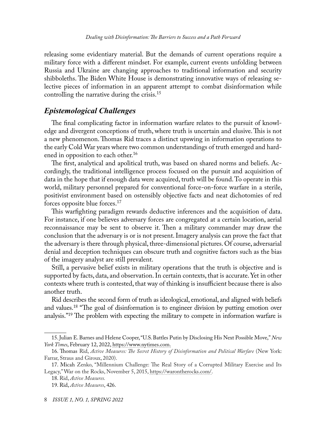releasing some evidentiary material. But the demands of current operations require a military force with a different mindset. For example, current events unfolding between Russia and Ukraine are changing approaches to traditional information and security shibboleths. The Biden White House is demonstrating innovative ways of releasing selective pieces of information in an apparent attempt to combat disinformation while controlling the narrative during the crisis.15

## *Epistemological Challenges*

The final complicating factor in information warfare relates to the pursuit of knowledge and divergent conceptions of truth, where truth is uncertain and elusive. This is not a new phenomenon. Thomas Rid traces a distinct upswing in information operations to the early Cold War years where two common understandings of truth emerged and hardened in opposition to each other.<sup>16</sup>

The first, analytical and apolitical truth, was based on shared norms and beliefs. Accordingly, the traditional intelligence process focused on the pursuit and acquisition of data in the hope that if enough data were acquired, truth will be found. To operate in this world, military personnel prepared for conventional force-on-force warfare in a sterile, positivist environment based on ostensibly objective facts and neat dichotomies of red forces opposite blue forces.17

This warfighting paradigm rewards deductive inferences and the acquisition of data. For instance, if one believes adversary forces are congregated at a certain location, aerial reconnaissance may be sent to observe it. Then a military commander may draw the conclusion that the adversary is or is not present. Imagery analysis can prove the fact that the adversary is there through physical, three-dimensional pictures. Of course, adversarial denial and deception techniques can obscure truth and cognitive factors such as the bias of the imagery analyst are still prevalent.

Still, a pervasive belief exists in military operations that the truth is objective and is supported by facts, data, and observation. In certain contexts, that is accurate. Yet in other contexts where truth is contested, that way of thinking is insufficient because there is also another truth.

Rid describes the second form of truth as ideological, emotional, and aligned with beliefs and values.18 "The goal of disinformation is to engineer division by putting emotion over analysis."<sup>19</sup> The problem with expecting the military to compete in information warfare is

<sup>15.</sup> Julian E. Barnes and Helene Cooper, "U.S. Battles Putin by Disclosing His Next Possible Move," *New York Times*, February 12, 2022, [https://www.nytimes.com](https://www.nytimes.com/2022/02/12/us/politics/russia-information-putin-biden.html).

<sup>16.</sup> Thomas Rid, *Active Measures: The Secret History of Disinformation and Political Warfare* (New York: Farrar, Straus and Giroux, 2020).

<sup>17.</sup> Micah Zenko, "Millennium Challenge: The Real Story of a Corrupted Military Exercise and Its Legacy," War on the Rocks, November 5, 2015, [https://warontherocks.com/.](https://warontherocks.com/2015/11/millennium-challenge-the-real-story-of-a-corrupted-military-exercise-and-its-legacy/)

<sup>18.</sup> Rid, *Active Measures.*

<sup>19.</sup> Rid, *Active Measures*, 426.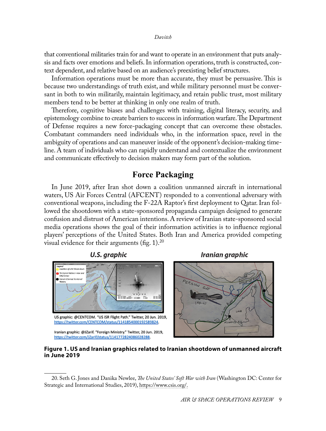that conventional militaries train for and want to operate in an environment that puts analysis and facts over emotions and beliefs. In information operations, truth is constructed, context dependent, and relative based on an audience's preexisting belief structures.

Information operations must be more than accurate, they must be persuasive. This is because two understandings of truth exist, and while military personnel must be conversant in both to win militarily, maintain legitimacy, and retain public trust, most military members tend to be better at thinking in only one realm of truth.

Therefore, cognitive biases and challenges with training, digital literacy, security, and epistemology combine to create barriers to success in information warfare. The Department of Defense requires a new force-packaging concept that can overcome these obstacles. Combatant commanders need individuals who, in the information space, revel in the ambiguity of operations and can maneuver inside of the opponent's decision-making timeline. A team of individuals who can rapidly understand and contextualize the environment and communicate effectively to decision makers may form part of the solution.

# **Force Packaging**

In June 2019, after Iran shot down a coalition unmanned aircraft in international waters, US Air Forces Central (AFCENT) responded to a conventional adversary with conventional weapons, including the F-22A Raptor's first deployment to Qatar. Iran followed the shootdown with a state-sponsored propaganda campaign designed to generate confusion and distrust of American intentions. A review of Iranian state-sponsored social media operations shows the goal of their information activities is to influence regional players' perceptions of the United States. Both Iran and America provided competing visual evidence for their arguments (fig. 1).<sup>20</sup>



**U.S. graphic** 

US graphic: @CENTCOM. "US ISR Flight Path." Twitter, 20 Jun. 2019, https://twitter.com/CENTCOM/status/1141854000192589824.

Iranian graphic



#### **Figure 1. US and Iranian graphics related to Iranian shootdown of unmanned aircraft in June 2019**

Iranian graphic: @JZarif. "Foreign Ministry." Twitter, 20 Jun. 2019, https://twitter.com/JZarif/status/1141772824086028288.

<sup>20.</sup> Seth G. Jones and Danika Newlee, *The United States' Soft War with Iran* (Washington DC: Center for Strategic and International Studies, 2019), [https://www.csis.org/.](https://www.csis.org/analysis/united-states-soft-war-iran)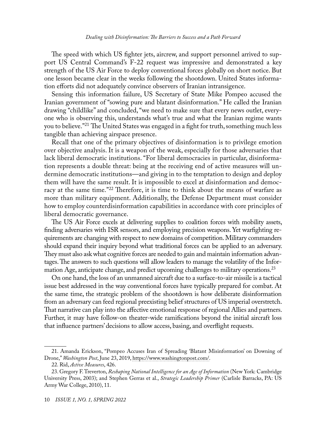The speed with which US fighter jets, aircrew, and support personnel arrived to support US Central Command's F-22 request was impressive and demonstrated a key strength of the US Air Force to deploy conventional forces globally on short notice. But one lesson became clear in the weeks following the shootdown. United States information efforts did not adequately convince observers of Iranian intransigence.

Sensing this information failure, US Secretary of State Mike Pompeo accused the Iranian government of "sowing pure and blatant disinformation." He called the Iranian drawing "childlike" and concluded, "we need to make sure that every news outlet, everyone who is observing this, understands what's true and what the Iranian regime wants you to believe."<sup>21</sup> The United States was engaged in a fight for truth, something much less tangible than achieving airspace presence.

Recall that one of the primary objectives of disinformation is to privilege emotion over objective analysis. It is a weapon of the weak, especially for those adversaries that lack liberal democratic institutions. "For liberal democracies in particular, disinformation represents a double threat: being at the receiving end of active measures will undermine democratic institutions—and giving in to the temptation to design and deploy them will have the same result. It is impossible to excel at disinformation and democracy at the same time."<sup>22</sup> Therefore, it is time to think about the means of warfare as more than military equipment. Additionally, the Defense Department must consider how to employ counterdisinformation capabilities in accordance with core principles of liberal democratic governance.

The US Air Force excels at delivering supplies to coalition forces with mobility assets, finding adversaries with ISR sensors, and employing precision weapons. Yet warfighting requirements are changing with respect to new domains of competition. Military commanders should expand their inquiry beyond what traditional forces can be applied to an adversary. They must also ask what cognitive forces are needed to gain and maintain information advantages. The answers to such questions will allow leaders to manage the volatility of the Information Age, anticipate change, and predict upcoming challenges to military operations.<sup>23</sup>

On one hand, the loss of an unmanned aircraft due to a surface-to-air missile is a tactical issue best addressed in the way conventional forces have typically prepared for combat. At the same time, the strategic problem of the shootdown is how deliberate disinformation from an adversary can feed regional preexisting belief structures of US imperial overstretch. That narrative can play into the affective emotional response of regional Allies and partners. Further, it may have follow-on theater-wide ramifications beyond the initial aircraft loss that influence partners' decisions to allow access, basing, and overflight requests.

<sup>21.</sup> Amanda Erickson, "Pompeo Accuses Iran of Spreading 'Blatant Misinformation' on Downing of Drone," *Washington Post*, June 23, 2019, [https://www.washingtonpost.com/.](https://www.washingtonpost.com/politics/pompeo-accuses-iran-of-sowing-pure-and-blatant-disinformation/2019/06/23/78553138-95de-11e9-916d-9c61607d8190_story.html.)

<sup>22.</sup> Rid, *Active Measures*, 426.

<sup>23.</sup> Gregory F. Treverton, *Reshaping National Intelligence for an Age of Information* (New York: Cambridge University Press, 2003); and Stephen Gerras et al., *Strategic Leadership Primer* (Carlisle Barracks, PA: US Army War College, 2010), 11.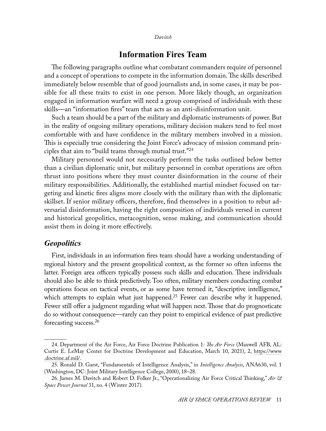# **Information Fires Team**

The following paragraphs outline what combatant commanders require of personnel and a concept of operations to compete in the information domain. The skills described immediately below resemble that of good journalists and, in some cases, it may be possible for all these traits to exist in one person. More likely though, an organization engaged in information warfare will need a group comprised of individuals with these skills—an "information fires" team that acts as an anti-disinformation unit.

Such a team should be a part of the military and diplomatic instruments of power. But in the reality of ongoing military operations, military decision makers tend to feel most comfortable with and have confidence in the military members involved in a mission. This is especially true considering the Joint Force's advocacy of mission command principles that aim to "build teams through mutual trust."24

Military personnel would not necessarily perform the tasks outlined below better than a civilian diplomatic unit, but military personnel in combat operations are often thrust into positions where they must counter disinformation in the course of their military responsibilities. Additionally, the established martial mindset focused on targeting and kinetic fires aligns more closely with the military than with the diplomatic skillset. If senior military officers, therefore, find themselves in a position to rebut adversarial disinformation, having the right composition of individuals versed in current and historical geopolitics, metacognition, sense making, and communication should assist them in doing it more effectively.

### *Geopolitics*

First, individuals in an information fires team should have a working understanding of regional history and the present geopolitical context, as the former so often informs the latter. Foreign area officers typically possess such skills and education. These individuals should also be able to think predictively. Too often, military members conducting combat operations focus on tactical events, or as some have termed it, "descriptive intelligence," which attempts to explain what just happened.<sup>25</sup> Fewer can describe why it happened. Fewer still offer a judgment regarding what will happen next. Those that do prognosticate do so without consequence—rarely can they point to empirical evidence of past predictive forecasting success.26

<sup>24.</sup> Department of the Air Force, Air Force Doctrine Publication 1: *The Air Force* (Maxwell AFB, AL: Curtis E. LeMay Center for Doctrine Development and Education, March 10, 2021), 2, [https://www](https://www.doctrine.af.mil/Portals/61/documents/AFDP_1/AFDP-1.pdf) [.doctrine.af.mil/](https://www.doctrine.af.mil/Portals/61/documents/AFDP_1/AFDP-1.pdf).

<sup>25.</sup> Ronald D. Garst, "Fundamentals of Intelligence Analysis," in *Intelligence Analysis*, ANA630, vol. 1 (Washington, DC: Joint Military Intelligence College, 2000), 18–28.

<sup>26.</sup> James M. Davitch and Robert D. Folker Jr., "Operationalizing Air Force Critical Thinking," *Air & Space Power Journal* 31, no. 4 (Winter 2017).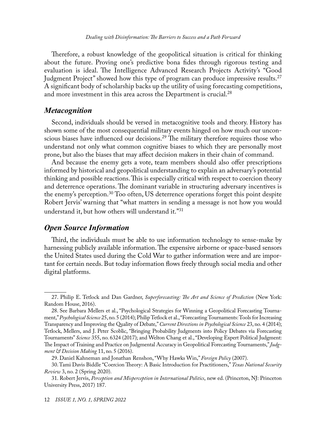Therefore, a robust knowledge of the geopolitical situation is critical for thinking about the future. Proving one's predictive bona fides through rigorous testing and evaluation is ideal. The Intelligence Advanced Research Projects Activity's "Good Judgment Project" showed how this type of program can produce impressive results.<sup>27</sup> A significant body of scholarship backs up the utility of using forecasting competitions, and more investment in this area across the Department is crucial.<sup>28</sup>

#### *Metacognition*

Second, individuals should be versed in metacognitive tools and theory. History has shown some of the most consequential military events hinged on how much our unconscious biases have influenced our decisions.<sup>29</sup> The military therefore requires those who understand not only what common cognitive biases to which they are personally most prone, but also the biases that may affect decision makers in their chain of command.

And because the enemy gets a vote, team members should also offer prescriptions informed by historical and geopolitical understanding to explain an adversary's potential thinking and possible reactions. This is especially critical with respect to coercion theory and deterrence operations. The dominant variable in structuring adversary incentives is the enemy's perception.<sup>30</sup> Too often, US deterrence operations forget this point despite Robert Jervis' warning that "what matters in sending a message is not how you would understand it, but how others will understand it."<sup>31</sup>

## *Open Source Information*

Third, the individuals must be able to use information technology to sense-make by harnessing publicly available information. The expensive airborne or space-based sensors the United States used during the Cold War to gather information were and are important for certain needs. But today information flows freely through social media and other digital platforms.

<sup>27.</sup> Philip E. Tetlock and Dan Gardner, *Superforecasting: The Art and Science of Prediction* (New York: Random House, 2016).

<sup>28.</sup> See Barbara Mellers et al., "Psychological Strategies for Winning a Geopolitical Forecasting Tournament," *Psychological Science* 25, no. 5 (2014); Philip Tetlock et al., "Forecasting Tournaments: Tools for Increasing Transparency and Improving the Quality of Debate," *Current Directions in Psychological Science* 23, no. 4 (2014); Tetlock, Mellers, and J. Peter Scoblic, "Bringing Probability Judgments into Policy Debates via Forecasting Tournaments" *Science* 355, no. 6324 (2017); and Welton Chang et al., "Developing Expert Political Judgment: The Impact of Training and Practice on Judgmental Accuracy in Geopolitical Forecasting Tournaments," *Judgment & Decision Making* 11, no. 5 (2016).

<sup>29.</sup> Daniel Kahneman and Jonathan Renshon, "Why Hawks Win," *Foreign Policy* (2007).

<sup>30.</sup> Tami Davis Biddle "Coercion Theory: A Basic Introduction for Practitioners," *Texas National Security Review* 3, no. 2 (Spring 2020).

<sup>31.</sup> Robert Jervis, *Perception and Misperception in International Politics*, new ed. (Princeton, NJ: Princeton University Press, 2017) 187.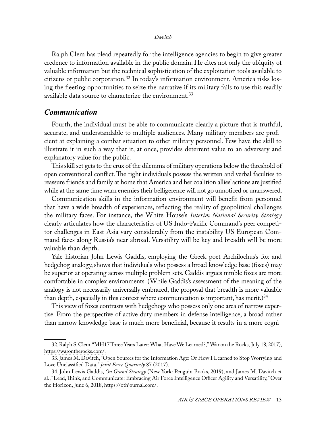Ralph Clem has plead repeatedly for the intelligence agencies to begin to give greater credence to information available in the public domain. He cites not only the ubiquity of valuable information but the technical sophistication of the exploitation tools available to citizens or public corporation.32 In today's information environment, America risks losing the fleeting opportunities to seize the narrative if its military fails to use this readily available data source to characterize the environment.<sup>33</sup>

### *Communication*

Fourth, the individual must be able to communicate clearly a picture that is truthful, accurate, and understandable to multiple audiences. Many military members are proficient at explaining a combat situation to other military personnel. Few have the skill to illustrate it in such a way that it, at once, provides deterrent value to an adversary and explanatory value for the public.

This skill set gets to the crux of the dilemma of military operations below the threshold of open conventional conflict. The right individuals possess the written and verbal faculties to reassure friends and family at home that America and her coalition allies' actions are justified while at the same time warn enemies their belligerence will not go unnoticed or unanswered.

Communication skills in the information environment will benefit from personnel that have a wide breadth of experiences, reflecting the reality of geopolitical challenges the military faces. For instance, the White House's *Interim National Security Strategy* clearly articulates how the characteristics of US Indo-Pacific Command's peer competitor challenges in East Asia vary considerably from the instability US European Command faces along Russia's near abroad. Versatility will be key and breadth will be more valuable than depth.

Yale historian John Lewis Gaddis, employing the Greek poet Archilochus's fox and hedgehog analogy, shows that individuals who possess a broad knowledge base (foxes) may be superior at operating across multiple problem sets. Gaddis argues nimble foxes are more comfortable in complex environments. (While Gaddis's assessment of the meaning of the analogy is not necessarily universally embraced, the proposal that breadth is more valuable than depth, especially in this context where communication is important, has merit.) $^{34}$ 

This view of foxes contrasts with hedgehogs who possess only one area of narrow expertise. From the perspective of active duty members in defense intelligence, a broad rather than narrow knowledge base is much more beneficial, because it results in a more cogni-

<sup>32.</sup> Ralph S. Clem, "MH17 Three Years Later: What Have We Learned?," War on the Rocks, July 18, 2017), [https://warontherocks.com/.](https://warontherocks.com/2017/07/mh17-three-years-later-what-have-we-learned/.)

<sup>33.</sup> James M. Davitch, "Open Sources for the Information Age: Or How I Learned to Stop Worrying and Love Unclassified Data," *Joint Force Quarterly* 87 (2017).

<sup>34.</sup> John Lewis Gaddis, *On Grand Strategy* (New York: Penguin Books, 2019); and James M. Davitch et al., "Lead, Think, and Communicate: Embracing Air Force Intelligence Officer Agility and Versatility," Over the Horizon, June 6, 2018, [https://othjournal.com/.](https://othjournal.com/2018/05/23/lead-think-and-communicate-embracing-air-force-intelligence-officer-agility-and-versatility/)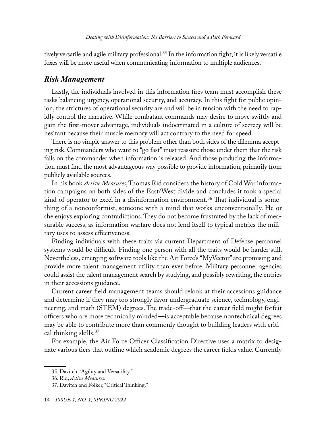tively versatile and agile military professional.<sup>35</sup> In the information fight, it is likely versatile foxes will be more useful when communicating information to multiple audiences.

#### *Risk Management*

Lastly, the individuals involved in this information fires team must accomplish these tasks balancing urgency, operational security, and accuracy. In this fight for public opinion, the strictures of operational security are and will be in tension with the need to rapidly control the narrative. While combatant commands may desire to move swiftly and gain the first-mover advantage, individuals indoctrinated in a culture of secrecy will be hesitant because their muscle memory will act contrary to the need for speed.

There is no simple answer to this problem other than both sides of the dilemma accepting risk. Commanders who want to "go fast" must reassure those under them that the risk falls on the commander when information is released. And those producing the information must find the most advantageous way possible to provide information, primarily from publicly available sources.

In his book *Active Measures*, Thomas Rid considers the history of Cold War information campaigns on both sides of the East/West divide and concludes it took a special kind of operator to excel in a disinformation environment.36 That individual is something of a nonconformist, someone with a mind that works unconventionally. He or she enjoys exploring contradictions. They do not become frustrated by the lack of measurable success, as information warfare does not lend itself to typical metrics the military uses to assess effectiveness.

Finding individuals with these traits via current Department of Defense personnel systems would be difficult. Finding one person with all the traits would be harder still. Nevertheless, emerging software tools like the Air Force's "MyVector" are promising and provide more talent management utility than ever before. Military personnel agencies could assist the talent management search by studying, and possibly rewriting, the entries in their accessions guidance.

Current career field management teams should relook at their accessions guidance and determine if they may too strongly favor undergraduate science, technology, engineering, and math (STEM) degrees. The trade-off—that the career field might forfeit officers who are more technically minded—is acceptable because nontechnical degrees may be able to contribute more than commonly thought to building leaders with critical thinking skills.<sup>37</sup>

For example, the Air Force Officer Classification Directive uses a matrix to designate various tiers that outline which academic degrees the career fields value. Currently

<sup>35.</sup> Davitch, "Agility and Versatility."

<sup>36.</sup> Rid, *Active Measures*.

<sup>37.</sup> Davitch and Folker, "Critical Thinking."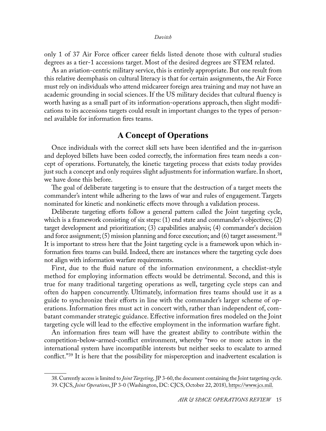only 1 of 37 Air Force officer career fields listed denote those with cultural studies degrees as a tier-1 accessions target. Most of the desired degrees are STEM related.

As an aviation-centric military service, this is entirely appropriate. But one result from this relative deemphasis on cultural literacy is that for certain assignments, the Air Force must rely on individuals who attend midcareer foreign area training and may not have an academic grounding in social sciences. If the US military decides that cultural fluency is worth having as a small part of its information-operations approach, then slight modifications to its accessions targets could result in important changes to the types of personnel available for information fires teams.

# **A Concept of Operations**

Once individuals with the correct skill sets have been identified and the in-garrison and deployed billets have been coded correctly, the information fires team needs a concept of operations. Fortunately, the kinetic targeting process that exists today provides just such a concept and only requires slight adjustments for information warfare. In short, we have done this before.

The goal of deliberate targeting is to ensure that the destruction of a target meets the commander's intent while adhering to the laws of war and rules of engagement. Targets nominated for kinetic and nonkinetic effects move through a validation process.

Deliberate targeting efforts follow a general pattern called the Joint targeting cycle, which is a framework consisting of six steps: (1) end state and commander's objectives; (2) target development and prioritization; (3) capabilities analysis; (4) commander's decision and force assignment; (5) mission planning and force execution; and (6) target assessment.<sup>38</sup> It is important to stress here that the Joint targeting cycle is a framework upon which information fires teams can build. Indeed, there are instances where the targeting cycle does not align with information warfare requirements.

First, due to the fluid nature of the information environment, a checklist-style method for employing information effects would be detrimental. Second, and this is true for many traditional targeting operations as well, targeting cycle steps can and often do happen concurrently. Ultimately, information fires teams should use it as a guide to synchronize their efforts in line with the commander's larger scheme of operations. Information fires must act in concert with, rather than independent of, combatant commander strategic guidance. Effective information fires modeled on the Joint targeting cycle will lead to the effective employment in the information warfare fight.

An information fires team will have the greatest ability to contribute within the competition-below-armed-conflict environment, whereby "two or more actors in the international system have incompatible interests but neither seeks to escalate to armed conflict."39 It is here that the possibility for misperception and inadvertent escalation is

<sup>38.</sup> Currently access is limited to *Joint Targeting*, JP 3-60, the document containing the Joint targeting cycle.

<sup>39.</sup> CJCS, *Joint Operations*, JP 3-0 (Washington, DC: CJCS, October 22, 2018), [https://www.jcs.mil](https://www.jcs.mil/Portals/36/Documents/Doctrine/pubs/jp3_0ch1.pdf).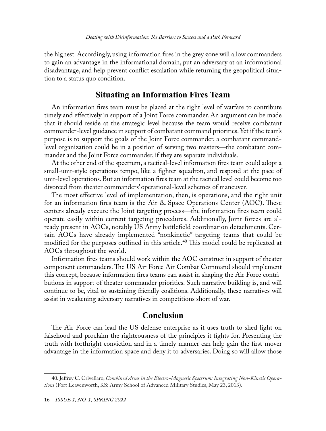the highest. Accordingly, using information fires in the grey zone will allow commanders to gain an advantage in the informational domain, put an adversary at an informational disadvantage, and help prevent conflict escalation while returning the geopolitical situation to a status quo condition.

## **Situating an Information Fires Team**

An information fires team must be placed at the right level of warfare to contribute timely and effectively in support of a Joint Force commander. An argument can be made that it should reside at the strategic level because the team would receive combatant commander-level guidance in support of combatant command priorities. Yet if the team's purpose is to support the goals of the Joint Force commander, a combatant commandlevel organization could be in a position of serving two masters—the combatant commander and the Joint Force commander, if they are separate individuals.

At the other end of the spectrum, a tactical-level information fires team could adopt a small-unit-style operations tempo, like a fighter squadron, and respond at the pace of unit-level operations. But an information fires team at the tactical level could become too divorced from theater commanders' operational-level schemes of maneuver.

The most effective level of implementation, then, is operations, and the right unit for an information fires team is the Air & Space Operations Center (AOC). These centers already execute the Joint targeting process—the information fires team could operate easily within current targeting procedures. Additionally, Joint forces are already present in AOCs, notably US Army battlefield coordination detachments. Certain AOCs have already implemented "nonkinetic" targeting teams that could be modified for the purposes outlined in this article.<sup>40</sup> This model could be replicated at AOCs throughout the world.

Information fires teams should work within the AOC construct in support of theater component commanders. The US Air Force Air Combat Command should implement this concept, because information fires teams can assist in shaping the Air Force contributions in support of theater commander priorities. Such narrative building is, and will continue to be, vital to sustaining friendly coalitions. Additionally, these narratives will assist in weakening adversary narratives in competitions short of war.

## **Conclusion**

The Air Force can lead the US defense enterprise as it uses truth to shed light on falsehood and proclaim the righteousness of the principles it fights for. Presenting the truth with forthright conviction and in a timely manner can help gain the first-mover advantage in the information space and deny it to adversaries. Doing so will allow those

<sup>40.</sup> Jeffrey C. Crivellaro, *Combined Arms in the Electro-Magnetic Spectrum: Integrating Non-Kinetic Operations* (Fort Leavenworth, KS: Army School of Advanced Military Studies, May 23, 2013).